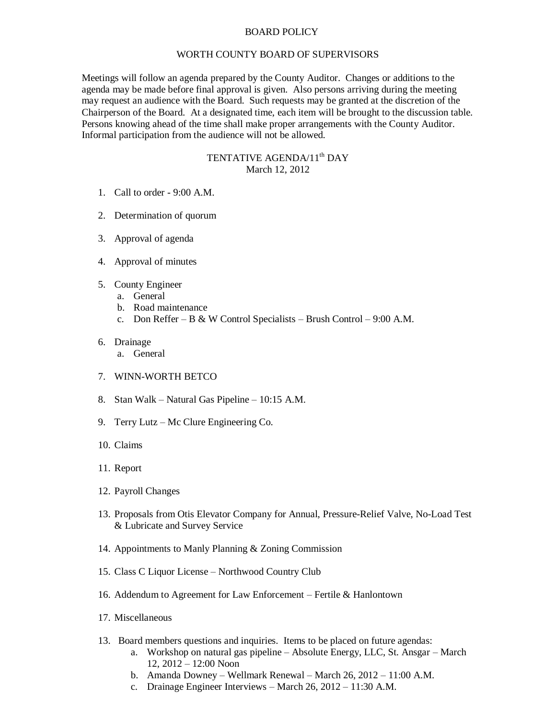## BOARD POLICY

## WORTH COUNTY BOARD OF SUPERVISORS

Meetings will follow an agenda prepared by the County Auditor. Changes or additions to the agenda may be made before final approval is given. Also persons arriving during the meeting may request an audience with the Board. Such requests may be granted at the discretion of the Chairperson of the Board. At a designated time, each item will be brought to the discussion table. Persons knowing ahead of the time shall make proper arrangements with the County Auditor. Informal participation from the audience will not be allowed.

## TENTATIVE AGENDA/11<sup>th</sup> DAY March 12, 2012

- 1. Call to order 9:00 A.M.
- 2. Determination of quorum
- 3. Approval of agenda
- 4. Approval of minutes
- 5. County Engineer
	- a. General
	- b. Road maintenance
	- c. Don Reffer B & W Control Specialists Brush Control 9:00 A.M.
- 6. Drainage
	- a. General
- 7. WINN-WORTH BETCO
- 8. Stan Walk Natural Gas Pipeline 10:15 A.M.
- 9. Terry Lutz Mc Clure Engineering Co.
- 10. Claims
- 11. Report
- 12. Payroll Changes
- 13. Proposals from Otis Elevator Company for Annual, Pressure-Relief Valve, No-Load Test & Lubricate and Survey Service
- 14. Appointments to Manly Planning & Zoning Commission
- 15. Class C Liquor License Northwood Country Club
- 16. Addendum to Agreement for Law Enforcement Fertile & Hanlontown
- 17. Miscellaneous
- 13. Board members questions and inquiries. Items to be placed on future agendas:
	- a. Workshop on natural gas pipeline Absolute Energy, LLC, St. Ansgar March 12, 2012 – 12:00 Noon
	- b. Amanda Downey Wellmark Renewal March 26, 2012 11:00 A.M.
	- c. Drainage Engineer Interviews March 26, 2012 11:30 A.M.